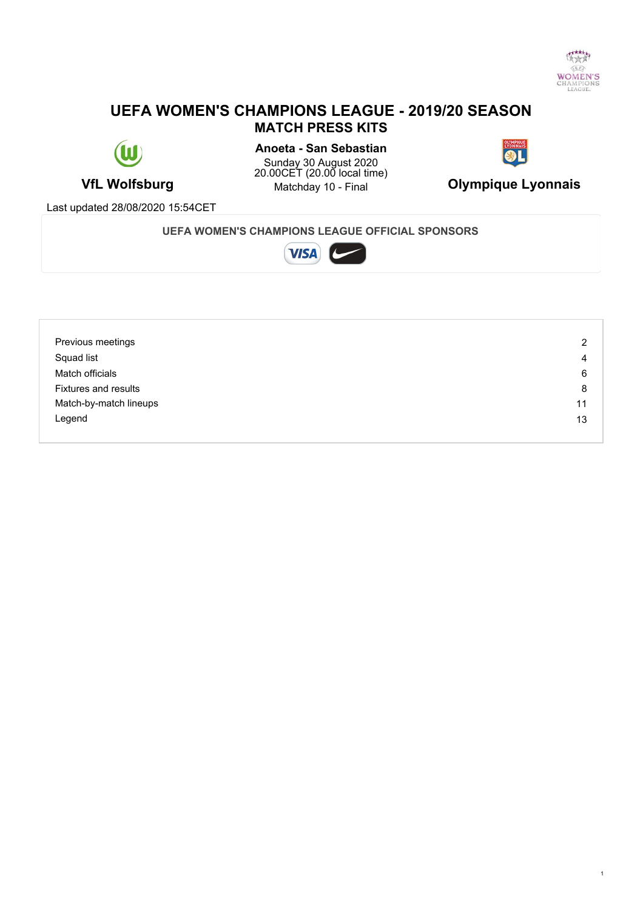

# **UEFA WOMEN'S CHAMPIONS LEAGUE - 2019/20 SEASON MATCH PRESS KITS**



**VfL Wolfsburg** Matchday 10 - Final **Olympique Lyonnais Anoeta - San Sebastian** Sunday 30 August 2020 20.00CET (20.00 local time)



Last updated 28/08/2020 15:54CET

#### **UEFA WOMEN'S CHAMPIONS LEAGUE OFFICIAL SPONSORS**



| Previous meetings           | 2  |
|-----------------------------|----|
| Squad list                  | 4  |
| Match officials             | 6  |
| <b>Fixtures and results</b> | 8  |
| Match-by-match lineups      | 11 |
| Legend                      | 13 |
|                             |    |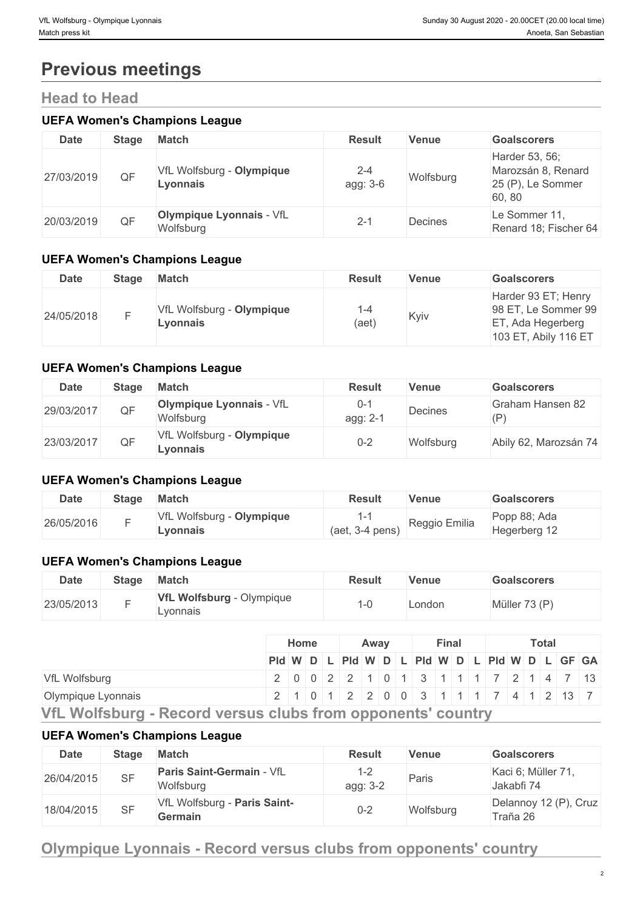# **Previous meetings**

# **Head to Head**

#### **UEFA Women's Champions League**

| <b>Date</b> | <b>Stage</b> | <b>Match</b>                                 | <b>Result</b>       | <b>Venue</b> | <b>Goalscorers</b>                                                 |
|-------------|--------------|----------------------------------------------|---------------------|--------------|--------------------------------------------------------------------|
| 27/03/2019  | QF           | VfL Wolfsburg - Olympique<br>Lyonnais        | $2 - 4$<br>agg: 3-6 | Wolfsburg    | Harder 53, 56;<br>Marozsán 8, Renard<br>25 (P), Le Sommer<br>60,80 |
| 20/03/2019  | QF           | <b>Olympique Lyonnais - VfL</b><br>Wolfsburg | $2 - 1$             | Decines      | Le Sommer 11,<br>Renard 18; Fischer 64                             |

## **UEFA Women's Champions League**

| <b>Date</b> | Stage | <b>Match</b>                          | <b>Result</b>   | <b>Venue</b> | <b>Goalscorers</b>                                                                      |
|-------------|-------|---------------------------------------|-----------------|--------------|-----------------------------------------------------------------------------------------|
| 24/05/2018  |       | VfL Wolfsburg - Olympique<br>∟vonnais | $1 - 4$<br>(aet | Kyiv         | Harder 93 ET; Henry<br>98 ET, Le Sommer 99<br>ET, Ada Hegerberg<br>103 ET, Abily 116 ET |

## **UEFA Women's Champions League**

| Date       | <b>Stage</b> | <b>Match</b>                                 | <b>Result</b>       | <b>Venue</b> | <b>Goalscorers</b>      |
|------------|--------------|----------------------------------------------|---------------------|--------------|-------------------------|
| 29/03/2017 | QF           | <b>Olympique Lyonnais - VfL</b><br>Wolfsburg | $0 - 1$<br>agg: 2-1 | Decines      | Graham Hansen 82<br>(P) |
| 23/03/2017 | QF           | VfL Wolfsburg - Olympique<br>Lyonnais        | $0 - 2$             | Wolfsburg    | Abily 62, Marozsán 74   |

### **UEFA Women's Champions League**

| <b>Date</b> | Stage | <b>Match</b>                          | <b>Result</b>     | Venue         | Goalscorers                  |
|-------------|-------|---------------------------------------|-------------------|---------------|------------------------------|
| 26/05/2016  |       | VfL Wolfsburg - Olympique<br>Lyonnais | $(aet, 3-4 pens)$ | Reggio Emilia | Popp 88; Ada<br>Hegerberg 12 |

## **UEFA Women's Champions League**

| <b>Date</b> | <b>Stage</b> | <b>Match</b>                                 | Result | <b>Venue</b> | <b>Goalscorers</b> |
|-------------|--------------|----------------------------------------------|--------|--------------|--------------------|
| 23/05/2013  |              | <b>VfL Wolfsburg - Olympique</b><br>Lyonnais |        | London       | Müller 73 (P)      |

|                    |                                                                                   | Home |  | Away |  |  | Final |  |  | <b>Total</b> |  |  |  |  |
|--------------------|-----------------------------------------------------------------------------------|------|--|------|--|--|-------|--|--|--------------|--|--|--|--|
|                    | Pid W D L Pid W D L Pid W D L Pid W D L GF GA                                     |      |  |      |  |  |       |  |  |              |  |  |  |  |
| VfL Wolfsburg      | 2 0 0 2 2 1 0 1 3 1 1 1 7 2 1 4 7 13                                              |      |  |      |  |  |       |  |  |              |  |  |  |  |
| Olympique Lyonnais | <u>  2   1   0   1   2   2   0   0   3   1   1   1   7   4   1   2   13   7  </u> |      |  |      |  |  |       |  |  |              |  |  |  |  |

**VfL Wolfsburg - Record versus clubs from opponents' country**

#### **UEFA Women's Champions League**

| <b>Date</b> | Stage | <b>Match</b>                                  | <b>Result</b>    | <b>Venue</b> | <b>Goalscorers</b>                |
|-------------|-------|-----------------------------------------------|------------------|--------------|-----------------------------------|
| 26/04/2015  | SF    | <b>Paris Saint-Germain - VfL</b><br>Wolfsburg | $-2$<br>agg: 3-2 | Paris        | Kaci 6; Müller 71,<br>Jakabfi 74  |
| 18/04/2015  | SF    | VfL Wolfsburg - Paris Saint-<br>Germain       | $0 - 2$          | Wolfsburg    | Delannoy 12 (P), Cruz<br>Traña 26 |

# **Olympique Lyonnais - Record versus clubs from opponents' country**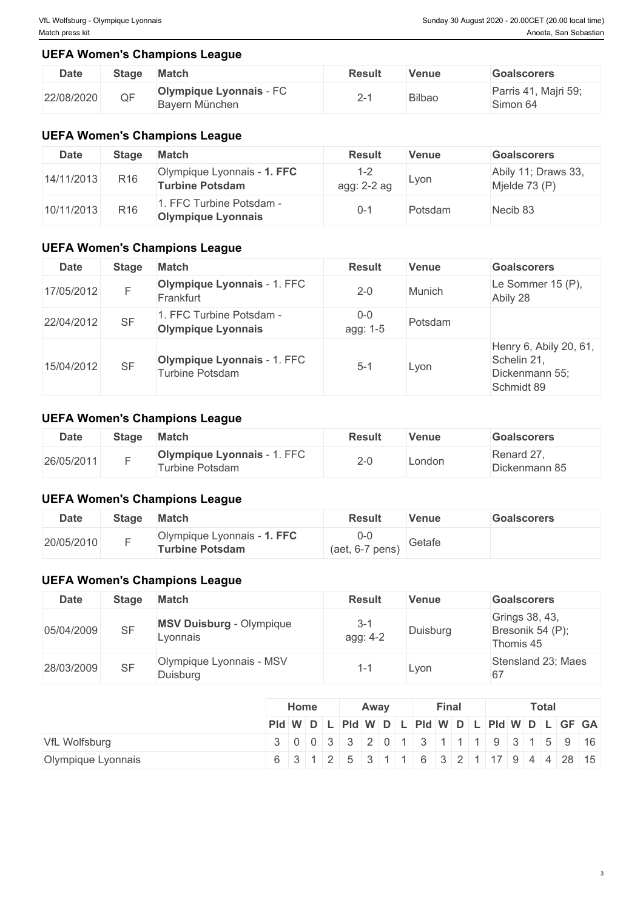## **UEFA Women's Champions League**

| <b>Date</b> | <b>Stage</b> | <b>Match</b>                                     | <b>Result</b> | Venue         | <b>Goalscorers</b>               |
|-------------|--------------|--------------------------------------------------|---------------|---------------|----------------------------------|
| 22/08/2020  | QF           | <b>Olympique Lyonnais - FC</b><br>Bayern München |               | <b>Bilbao</b> | Parris 41, Majri 59;<br>Simon 64 |

### **UEFA Women's Champions League**

| <b>Date</b> | Stage           | <b>Match</b>                                          | <b>Result</b>          | <b>Venue</b> | <b>Goalscorers</b>                   |
|-------------|-----------------|-------------------------------------------------------|------------------------|--------------|--------------------------------------|
| 14/11/2013  | R <sub>16</sub> | Olympique Lyonnais - 1. FFC<br><b>Turbine Potsdam</b> | $1 - 2$<br>agg: 2-2 ag | Lvon         | Abily 11; Draws 33,<br>Mjelde 73 (P) |
| 10/11/2013  | R <sub>16</sub> | . FFC Turbine Potsdam -<br><b>Olympique Lyonnais</b>  | 0-1                    | Potsdam      | Necib 83                             |

# **UEFA Women's Champions League**

| <b>Date</b> | <b>Stage</b> | <b>Match</b>                                          | <b>Result</b>     | <b>Venue</b> | <b>Goalscorers</b>                                                    |
|-------------|--------------|-------------------------------------------------------|-------------------|--------------|-----------------------------------------------------------------------|
| 17/05/2012  |              | Olympique Lyonnais - 1. FFC<br>Frankfurt              | $2 - 0$           | Munich       | Le Sommer 15 (P),<br>Abily 28                                         |
| 22/04/2012  | <b>SF</b>    | I. FFC Turbine Potsdam -<br><b>Olympique Lyonnais</b> | $0-0$<br>agg: 1-5 | Potsdam      |                                                                       |
| 15/04/2012  | <b>SF</b>    | Olympique Lyonnais - 1. FFC<br><b>Turbine Potsdam</b> | $5 - 1$           | Lyon         | Henry 6, Abily 20, 61,<br>Schelin 21,<br>Dickenmann 55;<br>Schmidt 89 |

# **UEFA Women's Champions League**

| <b>Date</b> | <b>Stage</b> | <b>Match</b>                                                  | <b>Result</b> | <b>Venue</b> | Goalscorers                          |
|-------------|--------------|---------------------------------------------------------------|---------------|--------------|--------------------------------------|
| 26/05/2011  |              | <b>FFC</b><br><b>Olympique Lyonnais - A</b><br>urbine Potsdam | <u>_</u>      | London       | $\sim$<br>Renard 2,<br>Dickenmann 85 |

## **UEFA Women's Champions League**

| <b>Date</b> | <b>Stage</b> | <b>Match</b>                                   | Result                      | Venue  | Goalscorers |
|-------------|--------------|------------------------------------------------|-----------------------------|--------|-------------|
| 20/05/2010  |              | Olympique Lyonnais - 1. FFC<br>Turbine Potsdam | -0-C<br>(aet, 6-7)<br>pens) | Getafe |             |

# **UEFA Women's Champions League**

| <b>Date</b> | <b>Stage</b> | <b>Match</b>                                | <b>Result</b>       | <b>Venue</b> | <b>Goalscorers</b>                              |
|-------------|--------------|---------------------------------------------|---------------------|--------------|-------------------------------------------------|
| 05/04/2009  | <b>SF</b>    | <b>MSV Duisburg - Olympique</b><br>Lyonnais | $3 - 1$<br>agg: 4-2 | Duisburg     | Grings 38, 43,<br>Bresonik 54 (P);<br>Thomis 45 |
| 28/03/2009  | <b>SF</b>    | Olympique Lyonnais - MSV<br>Duisburg        |                     | Lvon         | Stensland 23; Maes<br>67                        |

|                    | <b>Home</b> | Away | Final | <b>Total</b>                                                             |  |  |  |
|--------------------|-------------|------|-------|--------------------------------------------------------------------------|--|--|--|
|                    |             |      |       | Pid W D L Pid W D L Pid W D L Pid W D L GF GA                            |  |  |  |
| VfL Wolfsburg      |             |      |       | $\mid$ 3 0 0 3 3 3 2 0 1 3 1 1 1 1 9 3 1 5 9 16                          |  |  |  |
| Olympique Lyonnais |             |      |       | 6   3   1   2   5   3   1   1   6   3   2   1   17   9   4   4   28   15 |  |  |  |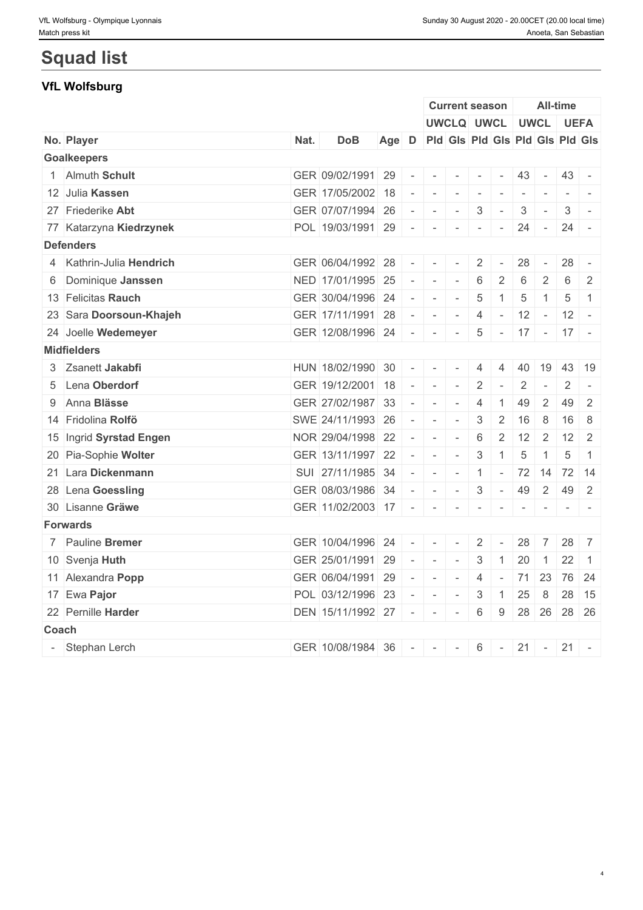# **Squad list**

# **VfL Wolfsburg**

|                          |      |                           |                                       |              |                                                                                                | <b>Current season</b>    |                 |                          |        |                | <b>All-time</b>                                                                                                                                                                                                                                                                                                                                                                                                                                                                        |                          |
|--------------------------|------|---------------------------|---------------------------------------|--------------|------------------------------------------------------------------------------------------------|--------------------------|-----------------|--------------------------|--------|----------------|----------------------------------------------------------------------------------------------------------------------------------------------------------------------------------------------------------------------------------------------------------------------------------------------------------------------------------------------------------------------------------------------------------------------------------------------------------------------------------------|--------------------------|
|                          |      |                           |                                       |              |                                                                                                | UWCLQ UWCL UWCL UEFA     |                 |                          |        |                |                                                                                                                                                                                                                                                                                                                                                                                                                                                                                        |                          |
| No. Player               | Nat. | <b>DoB</b>                | Age D Pld Gls Pld Gls Pld Gls Pld Gls |              |                                                                                                |                          |                 |                          |        |                |                                                                                                                                                                                                                                                                                                                                                                                                                                                                                        |                          |
| <b>Goalkeepers</b>       |      |                           |                                       |              |                                                                                                |                          |                 |                          |        |                |                                                                                                                                                                                                                                                                                                                                                                                                                                                                                        |                          |
| 1 Almuth Schult          |      | GER 09/02/1991 29         |                                       |              | $   -$                                                                                         |                          | $\mathbf{1}$    | $\overline{\phantom{a}}$ | 43     | $\sim$         | $43 -$                                                                                                                                                                                                                                                                                                                                                                                                                                                                                 |                          |
| 12 Julia Kassen          |      | GER 17/05/2002 18         |                                       | $\sim$       | $\sim$                                                                                         | $\sim$                   |                 |                          |        | $\sim$         |                                                                                                                                                                                                                                                                                                                                                                                                                                                                                        | $\overline{\phantom{a}}$ |
| 27 Friederike Abt        |      | GER 07/07/1994 26         |                                       |              | $\sim$ $\sim$ $\sim$                                                                           | $\sim$                   | 3               | $\overline{\phantom{a}}$ | 3      | $\sim$         | 3                                                                                                                                                                                                                                                                                                                                                                                                                                                                                      | $\sim$                   |
| 77 Katarzyna Kiedrzynek  |      | POL $19/03/1991$ 29 - - - |                                       |              |                                                                                                |                          | $\mathbf{r}$    | $\sim$                   | 24     | $\sim$         | $24 -$                                                                                                                                                                                                                                                                                                                                                                                                                                                                                 |                          |
| <b>Defenders</b>         |      |                           |                                       |              |                                                                                                |                          |                 |                          |        |                |                                                                                                                                                                                                                                                                                                                                                                                                                                                                                        |                          |
| 4 Kathrin-Julia Hendrich |      | GER 06/04/1992 28         |                                       |              | $\frac{1}{2} \left( \frac{1}{2} \right) \left( \frac{1}{2} \right) = \frac{1}{2}$              | $\sim$                   | 2               | $\sim$                   | 28     | $\sim$         | 28                                                                                                                                                                                                                                                                                                                                                                                                                                                                                     | $\overline{\phantom{a}}$ |
| 6 Dominique Janssen      |      | NED 17/01/1995 25         |                                       |              | $   -$                                                                                         |                          | 6               | 2                        | 6      | 2              | 6                                                                                                                                                                                                                                                                                                                                                                                                                                                                                      | 2                        |
| 13 Felicitas Rauch       |      | GER 30/04/1996 24         |                                       | $\sim$       | $\sim$                                                                                         | $\sim$                   | $\overline{5}$  | $\overline{1}$           | 5      | $\mathbf{1}$   | 5                                                                                                                                                                                                                                                                                                                                                                                                                                                                                      | $\overline{1}$           |
| 23 Sara Doorsoun-Khajeh  |      | GER 17/11/1991 28         |                                       |              | $\sim$ $\sim$ $\sim$                                                                           | $\sim$                   | 4               | $\sim$                   | 12     | $\sim$         | $12 -$                                                                                                                                                                                                                                                                                                                                                                                                                                                                                 |                          |
| 24 Joelle Wedemeyer      |      | GER 12/08/1996 24 - -     |                                       |              |                                                                                                |                          | $5\phantom{.0}$ |                          |        |                | $-17$ - 17 - 17 -                                                                                                                                                                                                                                                                                                                                                                                                                                                                      |                          |
| <b>Midfielders</b>       |      |                           |                                       |              |                                                                                                |                          |                 |                          |        |                |                                                                                                                                                                                                                                                                                                                                                                                                                                                                                        |                          |
| 3 Zsanett Jakabfi        |      | HUN 18/02/1990 30         |                                       | $\sim$ $-$   |                                                                                                | $\mathbf{r}$             | 4               | 4                        |        | 40 19          |                                                                                                                                                                                                                                                                                                                                                                                                                                                                                        | 43 19                    |
| 5 Lena Oberdorf          |      | GER 19/12/2001 18         |                                       | $\sim$ $  -$ |                                                                                                | $\mathbf{r}$             | $\overline{2}$  | $\sim$                   | 2      | $\sim$         | $\overline{2}$                                                                                                                                                                                                                                                                                                                                                                                                                                                                         | $\overline{\phantom{a}}$ |
| 9 Anna Blässe            |      | GER 27/02/1987 33         |                                       | $\sim$       | $\sim$                                                                                         | $\sim$                   | 4               | $\overline{1}$           | 49     | $\overline{2}$ | 49                                                                                                                                                                                                                                                                                                                                                                                                                                                                                     | 2                        |
| 14 Fridolina Rolfö       |      | SWE 24/11/1993 26         |                                       |              | $\sim$ $\sim$                                                                                  | $\sim$                   | 3               | 2                        | 16     | 8              | 16                                                                                                                                                                                                                                                                                                                                                                                                                                                                                     | -8                       |
| 15 Ingrid Syrstad Engen  |      | NOR 29/04/1998 22         |                                       | $\sim$       | $\sim$                                                                                         | $\sim$                   | $6\,$           | 2                        | 12     | 2              | 12                                                                                                                                                                                                                                                                                                                                                                                                                                                                                     | 2                        |
| 20 Pia-Sophie Wolter     |      | GER 13/11/1997 22         |                                       |              | $\sim$ 10 $\sim$                                                                               | $\sim$                   | $\mathfrak{Z}$  | $\overline{1}$           | 5      | 1              | 5                                                                                                                                                                                                                                                                                                                                                                                                                                                                                      | $\overline{1}$           |
| 21 Lara Dickenmann       |      | SUI 27/11/1985 34         |                                       |              | the company of the company                                                                     |                          | $\vert$ 1       |                          |        |                | $-$ 72 14 72 14                                                                                                                                                                                                                                                                                                                                                                                                                                                                        |                          |
| 28 Lena Goessling        |      | GER 08/03/1986 34         |                                       |              | $   -$                                                                                         |                          | 3               | $\sim$                   | 49     | 2              | 49                                                                                                                                                                                                                                                                                                                                                                                                                                                                                     | 2                        |
| 30 Lisanne Gräwe         |      | GER 11/02/2003 17 - -     |                                       |              |                                                                                                | $\sim$                   | $\sim$          | $\sim$                   | $\sim$ | $\sim$         | $\begin{array}{cccccccccccccc} \multicolumn{2}{c}{} & \multicolumn{2}{c}{} & \multicolumn{2}{c}{} & \multicolumn{2}{c}{} & \multicolumn{2}{c}{} & \multicolumn{2}{c}{} & \multicolumn{2}{c}{} & \multicolumn{2}{c}{} & \multicolumn{2}{c}{} & \multicolumn{2}{c}{} & \multicolumn{2}{c}{} & \multicolumn{2}{c}{} & \multicolumn{2}{c}{} & \multicolumn{2}{c}{} & \multicolumn{2}{c}{} & \multicolumn{2}{c}{} & \multicolumn{2}{c}{} & \multicolumn{2}{c}{} & \multicolumn{2}{c}{} & \$ |                          |
| <b>Forwards</b>          |      |                           |                                       |              |                                                                                                |                          |                 |                          |        |                |                                                                                                                                                                                                                                                                                                                                                                                                                                                                                        |                          |
| 7 Pauline Bremer         |      | GER 10/04/1996 24         |                                       |              | $\frac{1}{2} \left( \frac{1}{2} \right) \left( \frac{1}{2} \right) \left( \frac{1}{2} \right)$ | $\mathbf{r}$             | 2               | $\overline{\phantom{a}}$ | 28     | 7              | $28 \mid 7$                                                                                                                                                                                                                                                                                                                                                                                                                                                                            |                          |
| 10 Svenja Huth           |      | GER 25/01/1991 29         |                                       |              |                                                                                                |                          | 3               | $\overline{1}$           | 20     | 1              | 22                                                                                                                                                                                                                                                                                                                                                                                                                                                                                     | $\overline{1}$           |
| 11 Alexandra Popp        |      | GER 06/04/1991 29         |                                       |              | $   -$                                                                                         |                          | $\overline{4}$  | $\sim$                   |        | 71 23          |                                                                                                                                                                                                                                                                                                                                                                                                                                                                                        | 76 24                    |
| 17 Ewa Pajor             |      | POL 03/12/1996 23         |                                       | $\sim$       | $\sim$                                                                                         | $\overline{\phantom{a}}$ | 3               | $\overline{1}$           | 25     | 8              |                                                                                                                                                                                                                                                                                                                                                                                                                                                                                        | 28 15                    |
| 22 Pernille Harder       |      | DEN 15/11/1992 27 -       |                                       |              | $\sim$                                                                                         | $\overline{\phantom{a}}$ | 6               | 9                        |        |                | 28 26 28 26                                                                                                                                                                                                                                                                                                                                                                                                                                                                            |                          |
| Coach                    |      |                           |                                       |              |                                                                                                |                          |                 |                          |        |                |                                                                                                                                                                                                                                                                                                                                                                                                                                                                                        |                          |
| - Stephan Lerch          |      | GER 10/08/1984 36         |                                       | $\sim$ $-$   | $\sim$                                                                                         | $\sim$                   | 6               | $\sim$                   | 21     | $\sim$         | $21 -$                                                                                                                                                                                                                                                                                                                                                                                                                                                                                 |                          |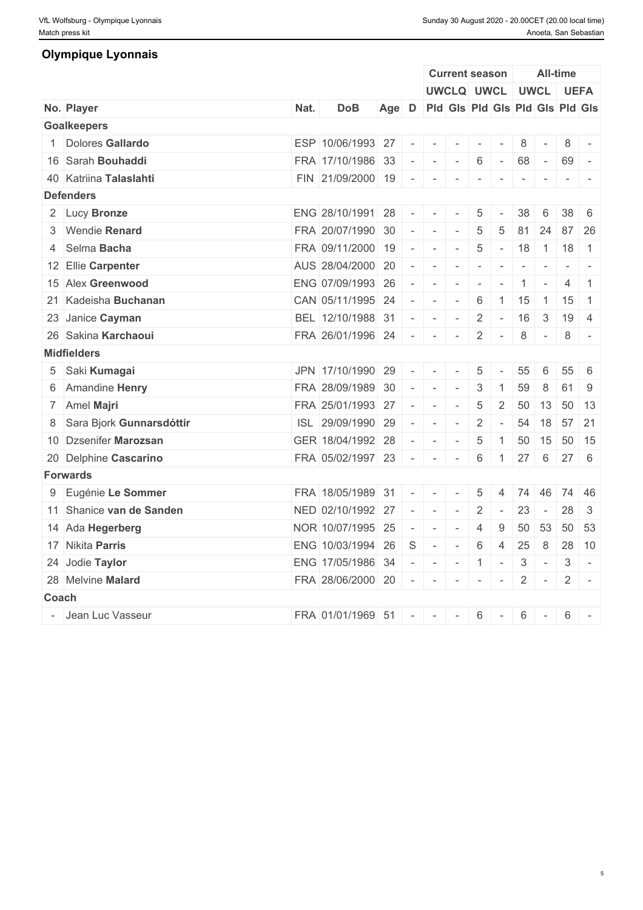# **Olympique Lyonnais**

|       |                            |      |                     |                                       |                          |                            | <b>Current season</b>    |                          |                          |                          |                          | <b>All-time</b> |                                                                                   |
|-------|----------------------------|------|---------------------|---------------------------------------|--------------------------|----------------------------|--------------------------|--------------------------|--------------------------|--------------------------|--------------------------|-----------------|-----------------------------------------------------------------------------------|
|       |                            |      |                     |                                       |                          |                            | UWCLQ UWCL UWCL UEFA     |                          |                          |                          |                          |                 |                                                                                   |
|       | No. Player                 | Nat. | <b>DoB</b>          | Age D Pld Gls Pld Gls Pld Gls Pld Gls |                          |                            |                          |                          |                          |                          |                          |                 |                                                                                   |
|       | <b>Goalkeepers</b>         |      |                     |                                       |                          |                            |                          |                          |                          |                          |                          |                 |                                                                                   |
|       | 1 Dolores Gallardo         |      | ESP 10/06/1993 27   |                                       |                          | $\sim$                     | $\sim$                   | $\overline{\phantom{a}}$ | $\overline{\phantom{a}}$ | 8                        |                          | 8               |                                                                                   |
|       | 16 Sarah Bouhaddi          |      | FRA 17/10/1986 33   |                                       | $\sim$                   | $\sim$                     | $\sim$                   | 6                        | $\sim$ $ \sim$           | 68                       | $\sim$ $-$               | 69              | $\sim$                                                                            |
|       | 40 Katriina Talaslahti     |      | FIN 21/09/2000 19   |                                       |                          | the company of the company |                          | $\sim$                   | $\sim$                   | $\sim$                   | $\sim$                   |                 | $-1$                                                                              |
|       | <b>Defenders</b>           |      |                     |                                       |                          |                            |                          |                          |                          |                          |                          |                 |                                                                                   |
|       | 2 Lucy Bronze              |      | ENG 28/10/1991 28   |                                       | $\sim$                   | $\overline{a}$             |                          | 5                        |                          | 38                       | 6                        |                 | $38 \mid 6$                                                                       |
|       | 3 Wendie Renard            |      | FRA 20/07/1990      | 30                                    | $\sim$                   | $\sim$                     | $\overline{\phantom{a}}$ | 5                        | 5                        | 81                       | 24                       |                 | 87 26                                                                             |
|       | 4 Selma Bacha              |      | FRA 09/11/2000      | 19                                    | $\omega$                 | $\sim$                     | $\sim$                   | 5                        | $\sim$ $-$               | 18                       |                          | $1 \mid 18$     | $\overline{1}$                                                                    |
|       | 12 Ellie Carpenter         |      | AUS 28/04/2000 20   |                                       | $\overline{\phantom{a}}$ | $\sim$                     |                          | $\overline{\phantom{a}}$ | $\overline{\phantom{a}}$ | $\overline{\phantom{a}}$ | $\overline{\phantom{a}}$ |                 | $\frac{1}{2} \left( \frac{1}{2} \right) \left( \frac{1}{2} \right) = \frac{1}{2}$ |
|       | 15 Alex Greenwood          |      | ENG 07/09/1993 26   |                                       | $\sim$                   | $\sim$                     | $\sim$                   |                          |                          |                          |                          | $\overline{4}$  | $\overline{1}$                                                                    |
|       | 21 Kadeisha Buchanan       |      | CAN 05/11/1995 24   |                                       | $\equiv$                 | $\sim$                     | $\sim$                   | $6\,$                    | $\mathbf{1}$             | 15                       | $-1$                     | 15              | $\overline{1}$                                                                    |
|       | 23 Janice Cayman           |      | BEL 12/10/1988 31   |                                       | $\sim$                   | $\sim$                     | $\sim$ $-$               | $\overline{2}$           | $\sim$                   | 16                       | $\mathbf{3}$             |                 | $19 \mid 4$                                                                       |
|       | 26 Sakina Karchaoui        |      | FRA 26/01/1996 24   |                                       | $\sim$                   | $\sim$                     | $\sim$                   | 2                        | $\sim$                   | 8                        | $\sim$                   | 8               | $\sim$                                                                            |
|       | <b>Midfielders</b>         |      |                     |                                       |                          |                            |                          |                          |                          |                          |                          |                 |                                                                                   |
|       | 5 Saki Kumagai             |      | JPN 17/10/1990      | 29                                    | $\sim$                   | $\overline{a}$             | $\overline{\phantom{a}}$ | $\sqrt{5}$               | $\overline{\phantom{a}}$ | 55                       | 6                        | 55              | 6                                                                                 |
|       | 6 Amandine Henry           |      | FRA 28/09/1989      | -30                                   | $\sim$                   |                            | $\sim$                   | 3                        | $\overline{1}$           | 59                       | 8                        | 61              | 9                                                                                 |
|       | 7 Amel Majri               |      | FRA 25/01/1993 27   |                                       | $\sim$                   | $\sim$                     | $\overline{\phantom{a}}$ | $\sqrt{5}$               | $\overline{2}$           |                          | $50 \mid 13$             |                 | 50 13                                                                             |
|       | 8 Sara Bjork Gunnarsdóttir |      | ISL 29/09/1990      | 29                                    | $\equiv$                 | $\sim$                     | $\overline{\phantom{a}}$ | $\overline{2}$           | $\sim$                   | 54                       | 18                       |                 | 57 21                                                                             |
|       | 10 Dzsenifer Marozsan      |      | GER 18/04/1992 28   |                                       | $\overline{\phantom{a}}$ | $\sim$                     | $\sim$                   | 5                        | $\overline{1}$           | 50                       | 15                       |                 | 50 15                                                                             |
|       | 20 Delphine Cascarino      |      | FRA 05/02/1997 23   |                                       | $\sim$                   | $\overline{a}$             |                          | 6                        | $\overline{1}$           | $27 \quad 6$             |                          |                 | $27 \quad 6$                                                                      |
|       | <b>Forwards</b>            |      |                     |                                       |                          |                            |                          |                          |                          |                          |                          |                 |                                                                                   |
|       | 9 Eugénie Le Sommer        |      | FRA 18/05/1989 31   |                                       | $\sim$                   | $\sim$                     | $\sim$                   | $\overline{5}$           | $\overline{4}$           |                          | 74 46                    |                 | 74 46                                                                             |
|       | 11 Shanice van de Sanden   |      | NED 02/10/1992 27   |                                       | $\overline{\phantom{a}}$ | $\sim$                     | $\overline{\phantom{a}}$ | 2                        | $\overline{\phantom{a}}$ | 23                       | $\sim$ $-$               | 28              | 3                                                                                 |
|       | 14 Ada Hegerberg           |      | NOR 10/07/1995      | 25                                    | $\equiv$                 | $\sim$                     | $\sim$                   | $\overline{4}$           | 9                        |                          | $50 \mid 53$             |                 | 50 53                                                                             |
|       | 17 Nikita Parris           |      | ENG 10/03/1994 26   |                                       | S                        | $\overline{a}$             | $\sim$                   | $6\,$                    | $\overline{4}$           | 25                       | 8                        |                 | 28 10                                                                             |
|       | 24 Jodie Taylor            |      | ENG 17/05/1986 34   |                                       | $\sim$                   | $\sim$                     | $\sim$                   | $\mathbf{1}$             | $\sim$                   | 3                        | $\sim$ $-$               | 3               | $\sim$                                                                            |
|       | 28 Melvine Malard          |      | FRA 28/06/2000 20   |                                       | $\sim$                   | $\sim$                     | $\sim$                   | $\overline{\phantom{a}}$ | $\sim$                   | $\overline{2}$           | $\mathbf{r}$             | $2 \mid$        | $\overline{\phantom{a}}$                                                          |
| Coach |                            |      |                     |                                       |                          |                            |                          |                          |                          |                          |                          |                 |                                                                                   |
|       | - Jean Luc Vasseur         |      | FRA 01/01/1969 51 - |                                       |                          | $\sim$                     | $\overline{\phantom{a}}$ | 6                        | $\sim$                   | 6                        | $\sim$                   | 6               |                                                                                   |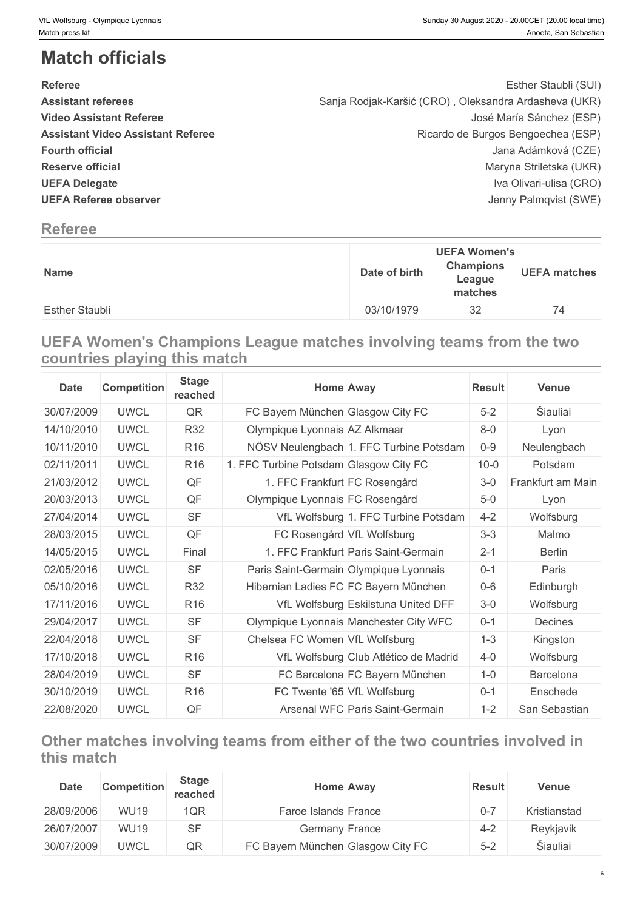# **Match officials**

| <b>Referee</b>                           | Esther Staubli (SUI)                                  |  |
|------------------------------------------|-------------------------------------------------------|--|
| <b>Assistant referees</b>                | Sanja Rodjak-Karšić (CRO), Oleksandra Ardasheva (UKR) |  |
| <b>Video Assistant Referee</b>           | José María Sánchez (ESP)                              |  |
| <b>Assistant Video Assistant Referee</b> | Ricardo de Burgos Bengoechea (ESP)                    |  |
| <b>Fourth official</b>                   | Jana Adámková (CZE)                                   |  |
| <b>Reserve official</b>                  | Maryna Striletska (UKR)                               |  |
| <b>UEFA Delegate</b>                     | Iva Olivari-ulisa (CRO)                               |  |
| <b>UEFA Referee observer</b>             | Jenny Palmqvist (SWE)                                 |  |
|                                          |                                                       |  |

# **Referee**

| Name                  | Date of birth | <b>UEFA Women's</b><br><b>Champions</b><br>League<br>matches | <b>UEFA matches</b> |
|-----------------------|---------------|--------------------------------------------------------------|---------------------|
| <b>Esther Staubli</b> | 03/10/1979    | 32                                                           | 74                  |

# **UEFA Women's Champions League matches involving teams from the two countries playing this match**

| <b>Date</b> | <b>Competition</b> | <b>Stage</b><br>reached | <b>Home Away</b>                        | <b>Result</b> | <b>Venue</b>      |
|-------------|--------------------|-------------------------|-----------------------------------------|---------------|-------------------|
| 30/07/2009  | <b>UWCL</b>        | QR                      | FC Bayern München Glasgow City FC       | $5-2$         | Šiauliai          |
| 14/10/2010  | <b>UWCL</b>        | <b>R32</b>              | Olympique Lyonnais AZ Alkmaar           | $8-0$         | Lyon              |
| 10/11/2010  | <b>UWCL</b>        | R <sub>16</sub>         | NÖSV Neulengbach 1. FFC Turbine Potsdam | $0-9$         | Neulengbach       |
| 02/11/2011  | <b>UWCL</b>        | R <sub>16</sub>         | 1. FFC Turbine Potsdam Glasgow City FC  | $10 - 0$      | Potsdam           |
| 21/03/2012  | <b>UWCL</b>        | QF                      | 1. FFC Frankfurt FC Rosengård           | $3-0$         | Frankfurt am Main |
| 20/03/2013  | <b>UWCL</b>        | QF                      | Olympique Lyonnais FC Rosengård         | $5-0$         | Lyon              |
| 27/04/2014  | <b>UWCL</b>        | <b>SF</b>               | VfL Wolfsburg 1. FFC Turbine Potsdam    | $4 - 2$       | Wolfsburg         |
| 28/03/2015  | <b>UWCL</b>        | QF                      | FC Rosengård VfL Wolfsburg              | $3 - 3$       | Malmo             |
| 14/05/2015  | <b>UWCL</b>        | Final                   | 1. FFC Frankfurt Paris Saint-Germain    | $2 - 1$       | Berlin            |
| 02/05/2016  | <b>UWCL</b>        | <b>SF</b>               | Paris Saint-Germain Olympique Lyonnais  | $0 - 1$       | Paris             |
| 05/10/2016  | <b>UWCL</b>        | <b>R32</b>              | Hibernian Ladies FC FC Bayern München   | 0-6           | Edinburgh         |
| 17/11/2016  | <b>UWCL</b>        | R <sub>16</sub>         | VfL Wolfsburg Eskilstuna United DFF     | $3-0$         | Wolfsburg         |
| 29/04/2017  | <b>UWCL</b>        | <b>SF</b>               | Olympique Lyonnais Manchester City WFC  | $0 - 1$       | Decines           |
| 22/04/2018  | <b>UWCL</b>        | <b>SF</b>               | Chelsea FC Women VfL Wolfsburg          | $1 - 3$       | Kingston          |
| 17/10/2018  | <b>UWCL</b>        | R <sub>16</sub>         | VfL Wolfsburg Club Atlético de Madrid   | $4 - 0$       | Wolfsburg         |
| 28/04/2019  | <b>UWCL</b>        | <b>SF</b>               | FC Barcelona FC Bayern München          | $1-0$         | <b>Barcelona</b>  |
| 30/10/2019  | <b>UWCL</b>        | R <sub>16</sub>         | FC Twente '65 VfL Wolfsburg             | $0 - 1$       | Enschede          |
| 22/08/2020  | <b>UWCL</b>        | QF                      | Arsenal WFC Paris Saint-Germain         | $1 - 2$       | San Sebastian     |

# **Other matches involving teams from either of the two countries involved in this match**

| <b>Date</b> | <b>Competition</b> | <b>Stage</b><br>reached | <b>Home Away</b>                  | <b>Result</b> | <b>Venue</b> |
|-------------|--------------------|-------------------------|-----------------------------------|---------------|--------------|
| 28/09/2006  | <b>WU19</b>        | 1QR                     | Faroe Islands France              | $0 - 7$       | Kristianstad |
| 26/07/2007  | <b>WU19</b>        | <b>SF</b>               | Germany France                    | $4 - 2$       | Reykjavik    |
| 30/07/2009  | <b>UWCL</b>        | QR                      | FC Bayern München Glasgow City FC | $5-2$         | Šiauliai     |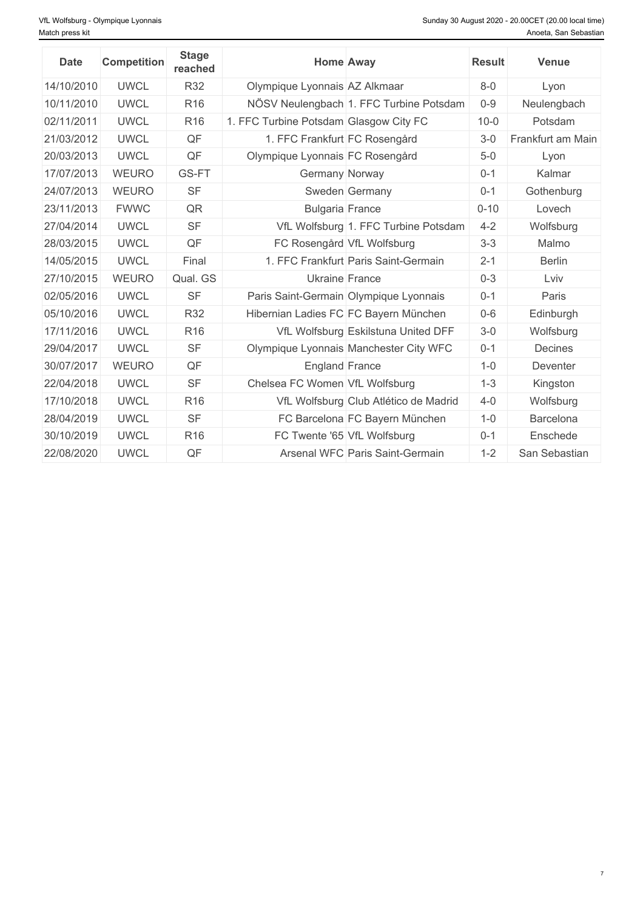| <b>Date</b> | <b>Competition</b> | <b>Stage</b><br>reached | <b>Home Away</b>                        | <b>Result</b> | Venue             |
|-------------|--------------------|-------------------------|-----------------------------------------|---------------|-------------------|
| 14/10/2010  | <b>UWCL</b>        | <b>R32</b>              | Olympique Lyonnais AZ Alkmaar           | $8-0$         | Lyon              |
| 10/11/2010  | <b>UWCL</b>        | R <sub>16</sub>         | NÖSV Neulengbach 1. FFC Turbine Potsdam | $0 - 9$       | Neulengbach       |
| 02/11/2011  | <b>UWCL</b>        | R <sub>16</sub>         | 1. FFC Turbine Potsdam Glasgow City FC  | $10 - 0$      | Potsdam           |
| 21/03/2012  | <b>UWCL</b>        | QF                      | 1. FFC Frankfurt FC Rosengård           | $3-0$         | Frankfurt am Main |
| 20/03/2013  | <b>UWCL</b>        | QF                      | Olympique Lyonnais FC Rosengård         | $5-0$         | Lyon              |
| 17/07/2013  | <b>WEURO</b>       | GS-FT                   | Germany Norway                          | $0 - 1$       | Kalmar            |
| 24/07/2013  | <b>WEURO</b>       | <b>SF</b>               | Sweden Germany                          | $0 - 1$       | Gothenburg        |
| 23/11/2013  | <b>FWWC</b>        | QR                      | <b>Bulgaria France</b>                  | $0 - 10$      | Lovech            |
| 27/04/2014  | <b>UWCL</b>        | <b>SF</b>               | VfL Wolfsburg 1. FFC Turbine Potsdam    | $4 - 2$       | Wolfsburg         |
| 28/03/2015  | <b>UWCL</b>        | QF                      | FC Rosengård VfL Wolfsburg              | $3 - 3$       | Malmo             |
| 14/05/2015  | <b>UWCL</b>        | Final                   | 1. FFC Frankfurt Paris Saint-Germain    | $2 - 1$       | <b>Berlin</b>     |
| 27/10/2015  | <b>WEURO</b>       | Qual. GS                | Ukraine France                          | $0 - 3$       | Lviv              |
| 02/05/2016  | <b>UWCL</b>        | <b>SF</b>               | Paris Saint-Germain Olympique Lyonnais  | $0 - 1$       | Paris             |
| 05/10/2016  | <b>UWCL</b>        | <b>R32</b>              | Hibernian Ladies FC FC Bayern München   | $0-6$         | Edinburgh         |
| 17/11/2016  | <b>UWCL</b>        | R <sub>16</sub>         | VfL Wolfsburg Eskilstuna United DFF     | $3-0$         | Wolfsburg         |
| 29/04/2017  | <b>UWCL</b>        | <b>SF</b>               | Olympique Lyonnais Manchester City WFC  | $0 - 1$       | Decines           |
| 30/07/2017  | <b>WEURO</b>       | QF                      | <b>England France</b>                   | $1 - 0$       | Deventer          |
| 22/04/2018  | <b>UWCL</b>        | <b>SF</b>               | Chelsea FC Women VfL Wolfsburg          | $1 - 3$       | Kingston          |
| 17/10/2018  | <b>UWCL</b>        | R <sub>16</sub>         | VfL Wolfsburg Club Atlético de Madrid   | $4-0$         | Wolfsburg         |
| 28/04/2019  | <b>UWCL</b>        | <b>SF</b>               | FC Barcelona FC Bayern München          | $1 - 0$       | Barcelona         |
| 30/10/2019  | <b>UWCL</b>        | R <sub>16</sub>         | FC Twente '65 VfL Wolfsburg             | $0 - 1$       | Enschede          |
| 22/08/2020  | <b>UWCL</b>        | QF                      | Arsenal WFC Paris Saint-Germain         | $1 - 2$       | San Sebastian     |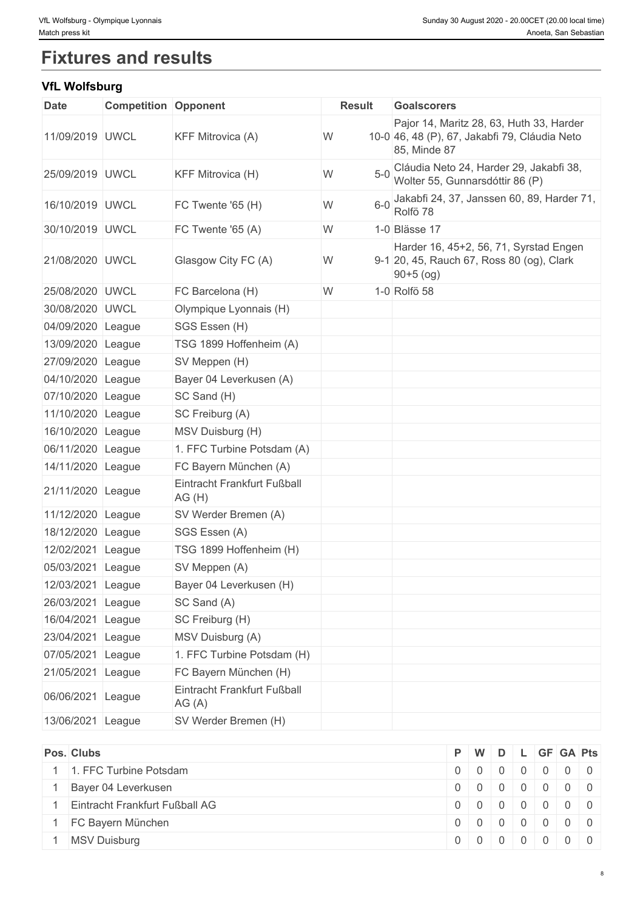# **Fixtures and results**

# **VfL Wolfsburg**

| <b>Date</b>       | <b>Competition Opponent</b> |                                      | <b>Result</b> | <b>Goalscorers</b>                                                                                        |
|-------------------|-----------------------------|--------------------------------------|---------------|-----------------------------------------------------------------------------------------------------------|
| 11/09/2019 UWCL   |                             | <b>KFF Mitrovica (A)</b>             | W             | Pajor 14, Maritz 28, 63, Huth 33, Harder<br>10-0 46, 48 (P), 67, Jakabfi 79, Cláudia Neto<br>85, Minde 87 |
| 25/09/2019 UWCL   |                             | KFF Mitrovica (H)                    | W<br>$5-0$    | Cláudia Neto 24, Harder 29, Jakabfi 38,<br>Wolter 55, Gunnarsdóttir 86 (P)                                |
| 16/10/2019 UWCL   |                             | FC Twente '65 (H)                    | W             | 6-0 Jakabfi 24, 37, Janssen 60, 89, Harder 71,<br>Rolfö 78                                                |
| 30/10/2019 UWCL   |                             | FC Twente '65 (A)                    | W             | 1-0 Blässe 17                                                                                             |
| 21/08/2020 UWCL   |                             | Glasgow City FC (A)                  | W             | Harder 16, 45+2, 56, 71, Syrstad Engen<br>9-1 20, 45, Rauch 67, Ross 80 (og), Clark<br>$90+5$ (og)        |
| 25/08/2020 UWCL   |                             | FC Barcelona (H)                     | W             | 1-0 Rolfö 58                                                                                              |
| 30/08/2020 UWCL   |                             | Olympique Lyonnais (H)               |               |                                                                                                           |
| 04/09/2020 League |                             | SGS Essen (H)                        |               |                                                                                                           |
| 13/09/2020 League |                             | TSG 1899 Hoffenheim (A)              |               |                                                                                                           |
| 27/09/2020 League |                             | SV Meppen (H)                        |               |                                                                                                           |
| 04/10/2020 League |                             | Bayer 04 Leverkusen (A)              |               |                                                                                                           |
| 07/10/2020 League |                             | SC Sand (H)                          |               |                                                                                                           |
| 11/10/2020 League |                             | SC Freiburg (A)                      |               |                                                                                                           |
| 16/10/2020 League |                             | MSV Duisburg (H)                     |               |                                                                                                           |
| 06/11/2020 League |                             | 1. FFC Turbine Potsdam (A)           |               |                                                                                                           |
| 14/11/2020 League |                             | FC Bayern München (A)                |               |                                                                                                           |
| 21/11/2020 League |                             | Eintracht Frankfurt Fußball<br>AG(H) |               |                                                                                                           |
| 11/12/2020 League |                             | SV Werder Bremen (A)                 |               |                                                                                                           |
| 18/12/2020 League |                             | SGS Essen (A)                        |               |                                                                                                           |
| 12/02/2021 League |                             | TSG 1899 Hoffenheim (H)              |               |                                                                                                           |
| 05/03/2021 League |                             | SV Meppen (A)                        |               |                                                                                                           |
| 12/03/2021 League |                             | Bayer 04 Leverkusen (H)              |               |                                                                                                           |
| 26/03/2021 League |                             | SC Sand (A)                          |               |                                                                                                           |
| 16/04/2021 League |                             | SC Freiburg (H)                      |               |                                                                                                           |
| 23/04/2021 League |                             | MSV Duisburg (A)                     |               |                                                                                                           |
| 07/05/2021 League |                             | 1. FFC Turbine Potsdam (H)           |               |                                                                                                           |
| 21/05/2021 League |                             | FC Bayern München (H)                |               |                                                                                                           |
| 06/06/2021 League |                             | Eintracht Frankfurt Fußball<br>AG(A) |               |                                                                                                           |
| 13/06/2021 League |                             | SV Werder Bremen (H)                 |               |                                                                                                           |

| Pos. Clubs                     | $P$ W D L GF GA Pts |  |  |  |
|--------------------------------|---------------------|--|--|--|
| 1. FFC Turbine Potsdam         | 0 0 0 0 0 0 0 0     |  |  |  |
| Bayer 04 Leverkusen            | 0 0 0 0 0 0 0 0     |  |  |  |
| Eintracht Frankfurt Fußball AG | 0 0 0 0 0 0 0 0     |  |  |  |
| FC Bayern München              | 0 0 0 0 0 0 0 0     |  |  |  |
| MSV Duisburg                   | 0 0 0 0 0 0 0 0 0   |  |  |  |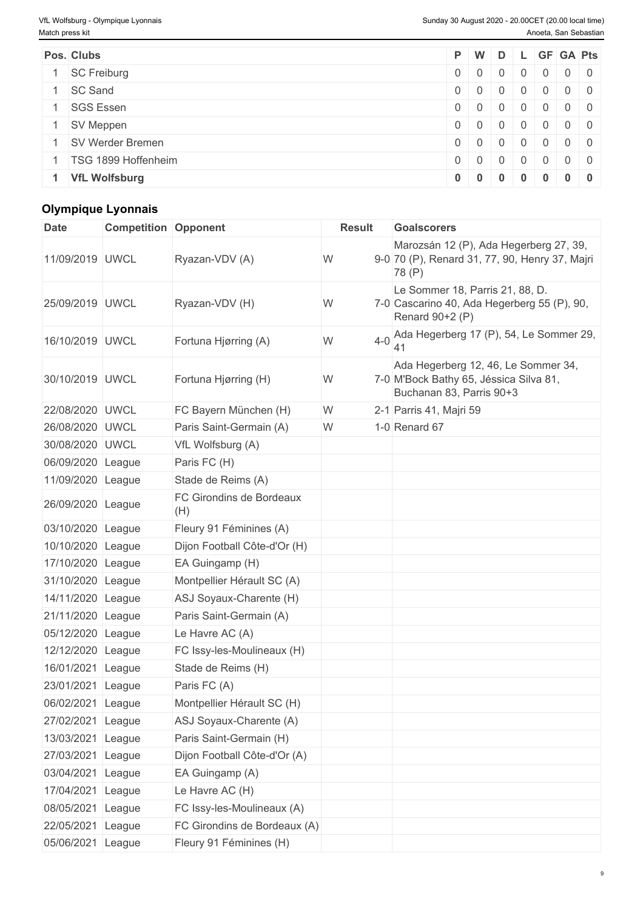| Pos. Clubs              |                |            |                 |                | P W D L GF GA Pts                      |  |
|-------------------------|----------------|------------|-----------------|----------------|----------------------------------------|--|
| <b>SC Freiburg</b>      | $0 \mid 0$     |            | $0 \mid 0 \mid$ |                | 0 0 0                                  |  |
| <b>SC Sand</b>          | $0 \mid 0$     |            | 0 0 0           |                | $0 0 0 0$                              |  |
| <b>SGS Essen</b>        | $0 \mid 0$     | $0 \mid 0$ |                 | $\overline{0}$ |                                        |  |
| SV Meppen               | 0 <sup>0</sup> |            | 0 0 0           |                | $0 \quad 0 \quad 0$                    |  |
| <b>SV Werder Bremen</b> | 0 0            |            | $0 \mid 0 \mid$ |                | $0 0 0 0$                              |  |
| TSG 1899 Hoffenheim     | $0 \mid 0$     |            | $0 \mid 0 \mid$ | $\Omega$       | $\begin{array}{c c} 0 & 0 \end{array}$ |  |
| <b>VfL Wolfsburg</b>    | 0 0            | $\bf{0}$   | $\overline{0}$  | $\bf{0}$       | $0 \quad 0$                            |  |

# **Olympique Lyonnais**

| <b>Date</b>       | <b>Competition Opponent</b> |                                 | <b>Result</b> | <b>Goalscorers</b>                                                                                        |
|-------------------|-----------------------------|---------------------------------|---------------|-----------------------------------------------------------------------------------------------------------|
| 11/09/2019 UWCL   |                             | Ryazan-VDV (A)                  | W             | Marozsán 12 (P), Ada Hegerberg 27, 39,<br>9-0 70 (P), Renard 31, 77, 90, Henry 37, Majri<br>78 (P)        |
| 25/09/2019 UWCL   |                             | Ryazan-VDV (H)                  | W             | Le Sommer 18, Parris 21, 88, D.<br>7-0 Cascarino 40, Ada Hegerberg 55 (P), 90,<br>Renard 90+2 (P)         |
| 16/10/2019 UWCL   |                             | Fortuna Hjørring (A)            | W             | 4-0 Ada Hegerberg 17 (P), 54, Le Sommer 29,                                                               |
| 30/10/2019 UWCL   |                             | Fortuna Hjørring (H)            | W             | Ada Hegerberg 12, 46, Le Sommer 34,<br>7-0 M'Bock Bathy 65, Jéssica Silva 81,<br>Buchanan 83, Parris 90+3 |
| 22/08/2020 UWCL   |                             | FC Bayern München (H)           | W             | 2-1 Parris 41, Majri 59                                                                                   |
| 26/08/2020 UWCL   |                             | Paris Saint-Germain (A)         | W             | 1-0 Renard 67                                                                                             |
| 30/08/2020 UWCL   |                             | VfL Wolfsburg (A)               |               |                                                                                                           |
| 06/09/2020 League |                             | Paris FC (H)                    |               |                                                                                                           |
| 11/09/2020 League |                             | Stade de Reims (A)              |               |                                                                                                           |
| 26/09/2020 League |                             | FC Girondins de Bordeaux<br>(H) |               |                                                                                                           |
| 03/10/2020 League |                             | Fleury 91 Féminines (A)         |               |                                                                                                           |
| 10/10/2020 League |                             | Dijon Football Côte-d'Or (H)    |               |                                                                                                           |
| 17/10/2020 League |                             | EA Guingamp (H)                 |               |                                                                                                           |
| 31/10/2020 League |                             | Montpellier Hérault SC (A)      |               |                                                                                                           |
| 14/11/2020 League |                             | ASJ Soyaux-Charente (H)         |               |                                                                                                           |
| 21/11/2020 League |                             | Paris Saint-Germain (A)         |               |                                                                                                           |
| 05/12/2020 League |                             | Le Havre AC (A)                 |               |                                                                                                           |
| 12/12/2020        | League                      | FC Issy-les-Moulineaux (H)      |               |                                                                                                           |
| 16/01/2021 League |                             | Stade de Reims (H)              |               |                                                                                                           |
| 23/01/2021 League |                             | Paris FC (A)                    |               |                                                                                                           |
| 06/02/2021 League |                             | Montpellier Hérault SC (H)      |               |                                                                                                           |
| 27/02/2021 League |                             | ASJ Soyaux-Charente (A)         |               |                                                                                                           |
| 13/03/2021 League |                             | Paris Saint-Germain (H)         |               |                                                                                                           |
| 27/03/2021 League |                             | Dijon Football Côte-d'Or (A)    |               |                                                                                                           |
| 03/04/2021 League |                             | EA Guingamp (A)                 |               |                                                                                                           |
| 17/04/2021 League |                             | Le Havre AC (H)                 |               |                                                                                                           |
| 08/05/2021 League |                             | FC Issy-les-Moulineaux (A)      |               |                                                                                                           |
| 22/05/2021 League |                             | FC Girondins de Bordeaux (A)    |               |                                                                                                           |
| 05/06/2021 League |                             | Fleury 91 Féminines (H)         |               |                                                                                                           |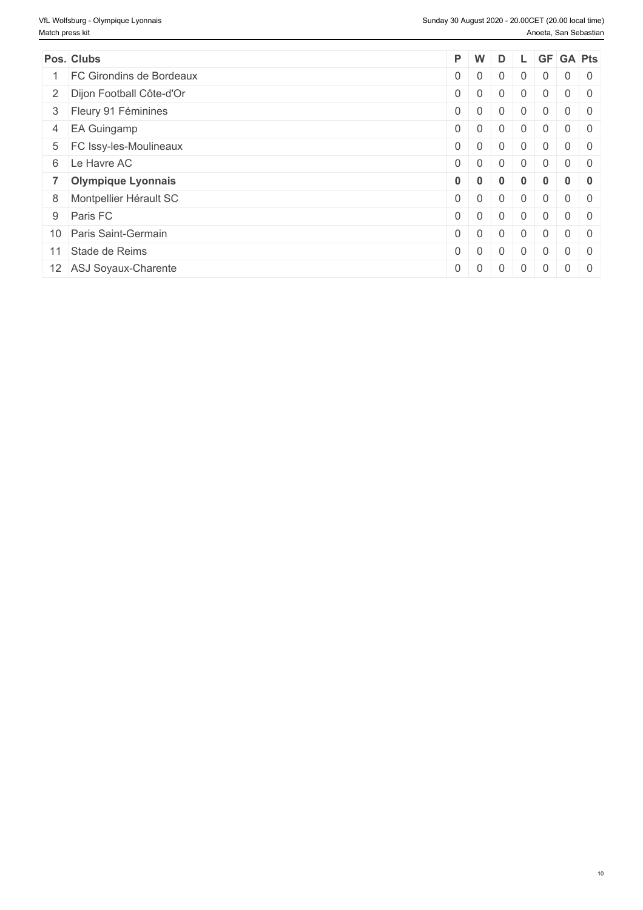| Pos. Clubs                 |             | P W               | D              |                |                | L GF GA Pts |                |
|----------------------------|-------------|-------------------|----------------|----------------|----------------|-------------|----------------|
| FC Girondins de Bordeaux   | $0 \mid 0$  |                   | $\overline{0}$ | $\overline{0}$ | $\overline{0}$ | $0 \mid 0$  |                |
| 2 Dijon Football Côte-d'Or | $0 \mid 0$  |                   | $\Omega$       | $\overline{0}$ | $\overline{0}$ |             | $0 \mid 0$     |
| 3 Fleury 91 Féminines      | $0 \mid 0$  |                   | $\mathbf{0}$   | $\mathbf 0$    | $\overline{0}$ |             | $0 \mid 0$     |
| 4 EA Guingamp              | $0 \mid 0$  |                   | $\overline{0}$ | $\overline{0}$ | $\overline{0}$ | $0 \mid 0$  |                |
| 5 FC Issy-les-Moulineaux   | $0 \mid 0$  |                   | $\overline{0}$ | $\overline{0}$ | $\overline{0}$ | $0 \mid 0$  |                |
| 6 Le Havre AC              | $0 \mid 0$  |                   | $\overline{0}$ | $\overline{0}$ | $\overline{0}$ | $0 \mid 0$  |                |
| 7 Olympique Lyonnais       | $0 \mid 0$  |                   | $\bf{0}$       | $\mathbf{0}$   | $\bf{0}$       |             | 0 <sub>0</sub> |
| 8 Montpellier Hérault SC   | $0 \quad 0$ |                   | $\overline{0}$ | $\overline{0}$ | $\Omega$       |             | $0 \quad 0$    |
| 9 Paris FC                 | $0 \mid 0$  |                   | $\Omega$       | $\overline{0}$ | $\overline{0}$ | $0 \mid 0$  |                |
| 10 Paris Saint-Germain     | $0 \mid 0$  |                   | $\mathbf{0}$   | $\overline{0}$ | $\overline{0}$ | $0 \mid 0$  |                |
| 11 Stade de Reims          | $0 \mid 0$  |                   | $\overline{0}$ | $\overline{0}$ | $\overline{0}$ |             | $0 \mid 0$     |
| 12 ASJ Soyaux-Charente     |             | $0 \mid 0 \mid 0$ |                |                | $0 \mid 0$     | $0 \mid 0$  |                |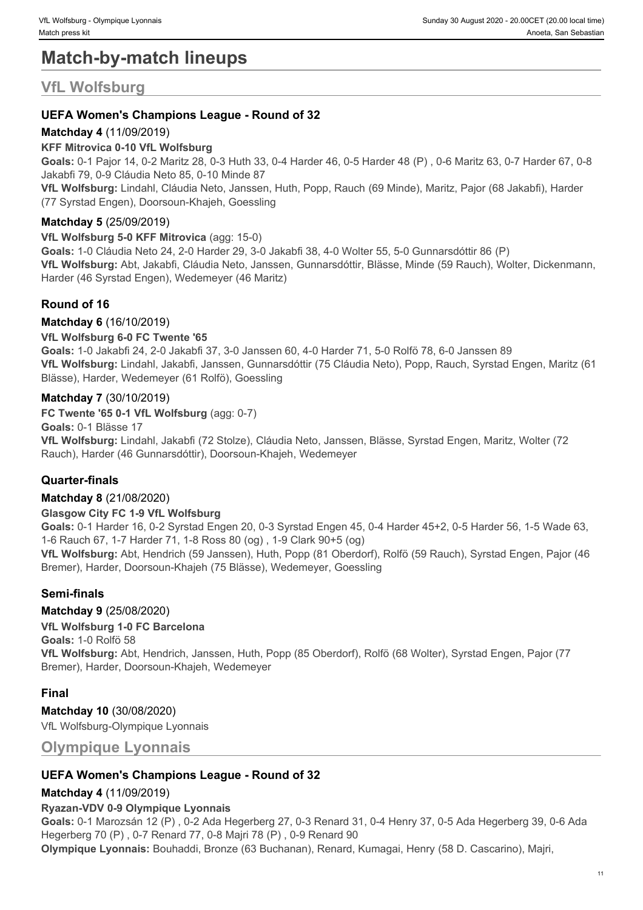# **Match-by-match lineups**

# **VfL Wolfsburg**

# **UEFA Women's Champions League - Round of 32**

## **Matchday 4** (11/09/2019)

#### **KFF Mitrovica 0-10 VfL Wolfsburg**

**Goals:** 0-1 Pajor 14, 0-2 Maritz 28, 0-3 Huth 33, 0-4 Harder 46, 0-5 Harder 48 (P) , 0-6 Maritz 63, 0-7 Harder 67, 0-8 Jakabfi 79, 0-9 Cláudia Neto 85, 0-10 Minde 87

**VfL Wolfsburg:** Lindahl, Cláudia Neto, Janssen, Huth, Popp, Rauch (69 Minde), Maritz, Pajor (68 Jakabfi), Harder (77 Syrstad Engen), Doorsoun-Khajeh, Goessling

#### **Matchday 5** (25/09/2019)

#### **VfL Wolfsburg 5-0 KFF Mitrovica** (agg: 15-0)

**Goals:** 1-0 Cláudia Neto 24, 2-0 Harder 29, 3-0 Jakabfi 38, 4-0 Wolter 55, 5-0 Gunnarsdóttir 86 (P) **VfL Wolfsburg:** Abt, Jakabfi, Cláudia Neto, Janssen, Gunnarsdóttir, Blässe, Minde (59 Rauch), Wolter, Dickenmann, Harder (46 Syrstad Engen), Wedemeyer (46 Maritz)

# **Round of 16**

#### **Matchday 6** (16/10/2019)

#### **VfL Wolfsburg 6-0 FC Twente '65**

**Goals:** 1-0 Jakabfi 24, 2-0 Jakabfi 37, 3-0 Janssen 60, 4-0 Harder 71, 5-0 Rolfö 78, 6-0 Janssen 89 **VfL Wolfsburg:** Lindahl, Jakabfi, Janssen, Gunnarsdóttir (75 Cláudia Neto), Popp, Rauch, Syrstad Engen, Maritz (61 Blässe), Harder, Wedemeyer (61 Rolfö), Goessling

### **Matchday 7** (30/10/2019)

**FC Twente '65 0-1 VfL Wolfsburg** (agg: 0-7)

**Goals:** 0-1 Blässe 17

**VfL Wolfsburg:** Lindahl, Jakabfi (72 Stolze), Cláudia Neto, Janssen, Blässe, Syrstad Engen, Maritz, Wolter (72 Rauch), Harder (46 Gunnarsdóttir), Doorsoun-Khajeh, Wedemeyer

## **Quarter-finals**

#### **Matchday 8** (21/08/2020)

#### **Glasgow City FC 1-9 VfL Wolfsburg**

**Goals:** 0-1 Harder 16, 0-2 Syrstad Engen 20, 0-3 Syrstad Engen 45, 0-4 Harder 45+2, 0-5 Harder 56, 1-5 Wade 63, 1-6 Rauch 67, 1-7 Harder 71, 1-8 Ross 80 (og) , 1-9 Clark 90+5 (og)

**VfL Wolfsburg:** Abt, Hendrich (59 Janssen), Huth, Popp (81 Oberdorf), Rolfö (59 Rauch), Syrstad Engen, Pajor (46 Bremer), Harder, Doorsoun-Khajeh (75 Blässe), Wedemeyer, Goessling

## **Semi-finals**

#### **Matchday 9** (25/08/2020)

#### **VfL Wolfsburg 1-0 FC Barcelona**

**Goals:** 1-0 Rolfö 58

**VfL Wolfsburg:** Abt, Hendrich, Janssen, Huth, Popp (85 Oberdorf), Rolfö (68 Wolter), Syrstad Engen, Pajor (77 Bremer), Harder, Doorsoun-Khajeh, Wedemeyer

#### **Final**

#### **Matchday 10** (30/08/2020)

VfL Wolfsburg-Olympique Lyonnais

**Olympique Lyonnais**

## **UEFA Women's Champions League - Round of 32**

#### **Matchday 4** (11/09/2019)

#### **Ryazan-VDV 0-9 Olympique Lyonnais**

**Goals:** 0-1 Marozsán 12 (P) , 0-2 Ada Hegerberg 27, 0-3 Renard 31, 0-4 Henry 37, 0-5 Ada Hegerberg 39, 0-6 Ada Hegerberg 70 (P) , 0-7 Renard 77, 0-8 Majri 78 (P) , 0-9 Renard 90

**Olympique Lyonnais:** Bouhaddi, Bronze (63 Buchanan), Renard, Kumagai, Henry (58 D. Cascarino), Majri,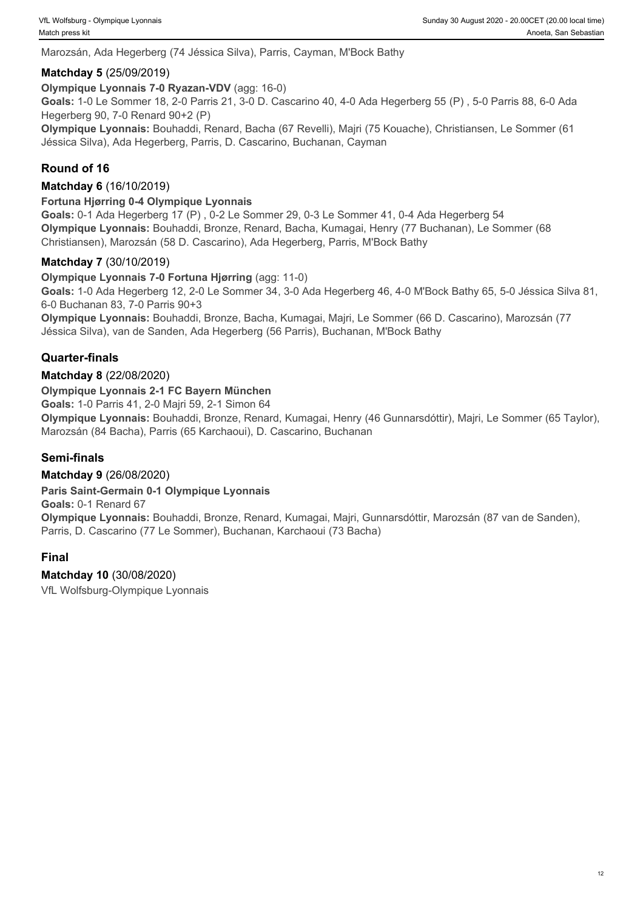Marozsán, Ada Hegerberg (74 Jéssica Silva), Parris, Cayman, M'Bock Bathy

#### **Matchday 5** (25/09/2019)

**Olympique Lyonnais 7-0 Ryazan-VDV** (agg: 16-0)

**Goals:** 1-0 Le Sommer 18, 2-0 Parris 21, 3-0 D. Cascarino 40, 4-0 Ada Hegerberg 55 (P) , 5-0 Parris 88, 6-0 Ada Hegerberg 90, 7-0 Renard 90+2 (P)

**Olympique Lyonnais:** Bouhaddi, Renard, Bacha (67 Revelli), Majri (75 Kouache), Christiansen, Le Sommer (61 Jéssica Silva), Ada Hegerberg, Parris, D. Cascarino, Buchanan, Cayman

# **Round of 16**

#### **Matchday 6** (16/10/2019)

#### **Fortuna Hjørring 0-4 Olympique Lyonnais**

**Goals:** 0-1 Ada Hegerberg 17 (P) , 0-2 Le Sommer 29, 0-3 Le Sommer 41, 0-4 Ada Hegerberg 54 **Olympique Lyonnais:** Bouhaddi, Bronze, Renard, Bacha, Kumagai, Henry (77 Buchanan), Le Sommer (68 Christiansen), Marozsán (58 D. Cascarino), Ada Hegerberg, Parris, M'Bock Bathy

#### **Matchday 7** (30/10/2019)

**Olympique Lyonnais 7-0 Fortuna Hjørring** (agg: 11-0)

**Goals:** 1-0 Ada Hegerberg 12, 2-0 Le Sommer 34, 3-0 Ada Hegerberg 46, 4-0 M'Bock Bathy 65, 5-0 Jéssica Silva 81, 6-0 Buchanan 83, 7-0 Parris 90+3

**Olympique Lyonnais:** Bouhaddi, Bronze, Bacha, Kumagai, Majri, Le Sommer (66 D. Cascarino), Marozsán (77 Jéssica Silva), van de Sanden, Ada Hegerberg (56 Parris), Buchanan, M'Bock Bathy

### **Quarter-finals**

#### **Matchday 8** (22/08/2020)

#### **Olympique Lyonnais 2-1 FC Bayern München**

**Goals:** 1-0 Parris 41, 2-0 Majri 59, 2-1 Simon 64

**Olympique Lyonnais:** Bouhaddi, Bronze, Renard, Kumagai, Henry (46 Gunnarsdóttir), Majri, Le Sommer (65 Taylor), Marozsán (84 Bacha), Parris (65 Karchaoui), D. Cascarino, Buchanan

#### **Semi-finals**

#### **Matchday 9** (26/08/2020)

#### **Paris Saint-Germain 0-1 Olympique Lyonnais**

**Goals:** 0-1 Renard 67

**Olympique Lyonnais:** Bouhaddi, Bronze, Renard, Kumagai, Majri, Gunnarsdóttir, Marozsán (87 van de Sanden), Parris, D. Cascarino (77 Le Sommer), Buchanan, Karchaoui (73 Bacha)

#### **Final**

**Matchday 10** (30/08/2020) VfL Wolfsburg-Olympique Lyonnais